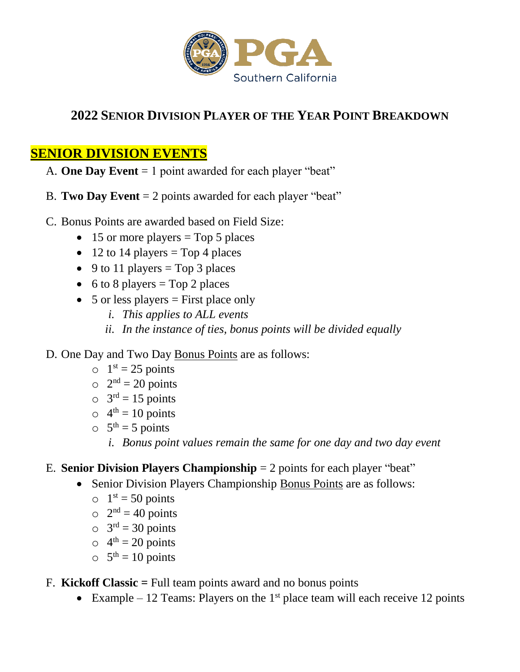

## **2022 SENIOR DIVISION PLAYER OF THE YEAR POINT BREAKDOWN**

## **SENIOR DIVISION EVENTS**

- A. **One Day Event** = 1 point awarded for each player "beat"
- B. **Two Day Event** = 2 points awarded for each player "beat"
- C. Bonus Points are awarded based on Field Size:
	- $\bullet$  15 or more players = Top 5 places
	- $\bullet$  12 to 14 players = Top 4 places
	- $\bullet$  9 to 11 players = Top 3 places
	- 6 to 8 players =  $Top\ 2$  places
	- $\bullet$  5 or less players = First place only
		- *i. This applies to ALL events*
		- *ii. In the instance of ties, bonus points will be divided equally*
- D. One Day and Two Day Bonus Points are as follows:
	- $0 \quad 1^{st} = 25 \text{ points}$
	- $2<sup>nd</sup> = 20$  points
	- $\circ$  3<sup>rd</sup> = 15 points
	- $\circ$  4<sup>th</sup> = 10 points
	- $5^{\text{th}} = 5 \text{ points}$ 
		- *i. Bonus point values remain the same for one day and two day event*
- E. **Senior Division Players Championship** = 2 points for each player "beat"
	- Senior Division Players Championship Bonus Points are as follows:
		- $0 \quad 1^{st} = 50 \text{ points}$
		- $2<sup>nd</sup> = 40$  points
		- $\circ$  3<sup>rd</sup> = 30 points
		- $\circ$  4<sup>th</sup> = 20 points
		- $5^{\text{th}} = 10 \text{ points}$
- F. **Kickoff Classic =** Full team points award and no bonus points
	- Example 12 Teams: Players on the 1<sup>st</sup> place team will each receive 12 points